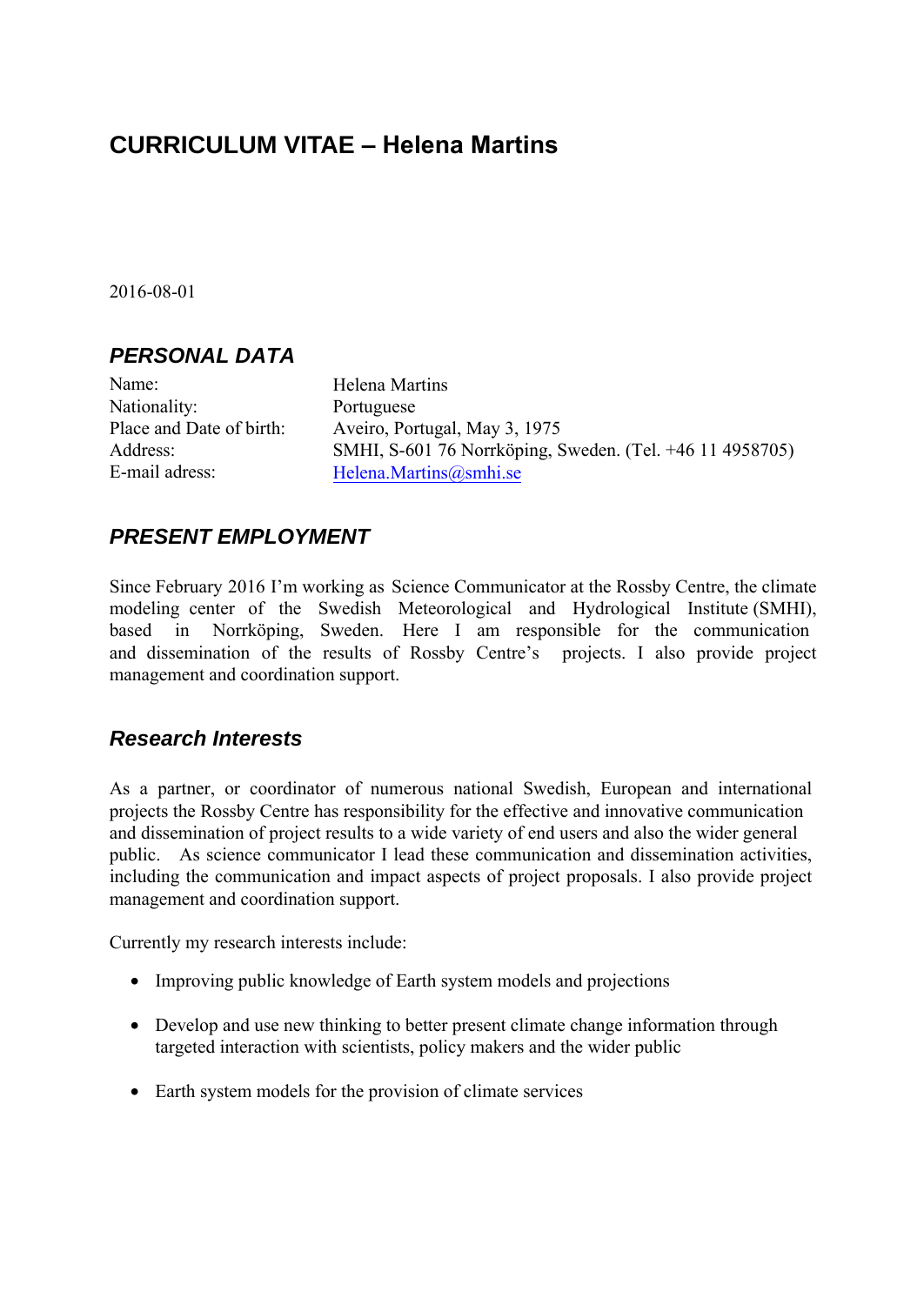# **CURRICULUM VITAE – Helena Martins**

2016-08-01

#### *PERSONAL DATA*

Name: Nationality: Place and Date of birth: Address: E-mail adress:

Helena Martins Portuguese Aveiro, Portugal, May 3, 1975 SMHI, S-601 76 Norrköping, Sweden. (Tel. +46 11 4958705) Helena.Martins@smhi.se

### *PRESENT EMPLOYMENT*

Since February 2016 I'm working as Science Communicator at the Rossby Centre, the climate modeling center of the Swedish Meteorological and Hydrological Institute (SMHI), based in Norrköping, Sweden. Here I am responsible for the communication and dissemination of the results of Rossby Centre's projects. I also provide project management and coordination support.

### *Research Interests*

As a partner, or coordinator of numerous national Swedish, European and international projects the Rossby Centre has responsibility for the effective and innovative communication and dissemination of project results to a wide variety of end users and also the wider general public. As science communicator I lead these communication and dissemination activities, including the communication and impact aspects of project proposals. I also provide project management and coordination support.

Currently my research interests include:

- Improving public knowledge of Earth system models and projections
- Develop and use new thinking to better present climate change information through targeted interaction with scientists, policy makers and the wider public
- Earth system models for the provision of climate services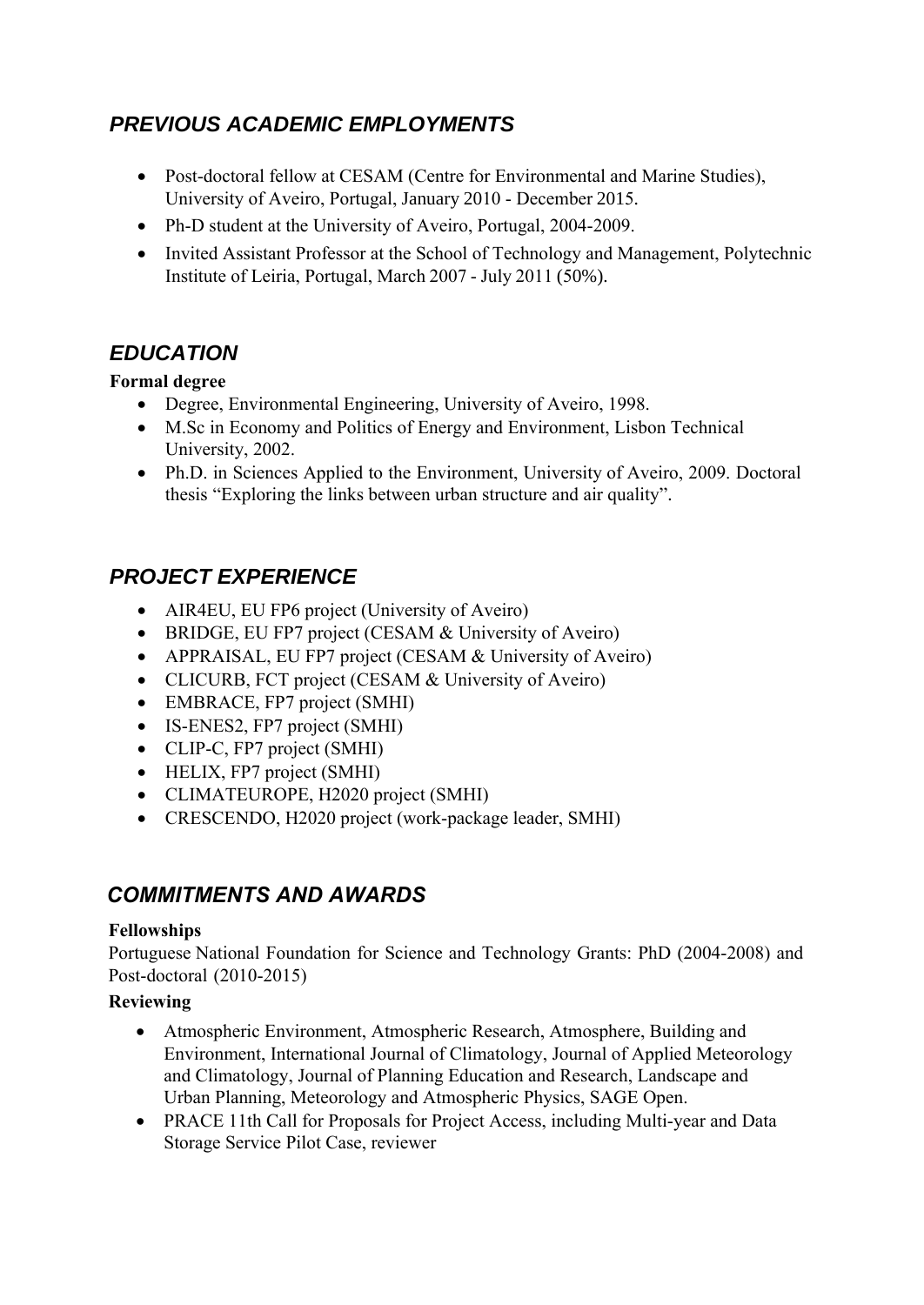### *PREVIOUS ACADEMIC EMPLOYMENTS*

- Post-doctoral fellow at CESAM (Centre for Environmental and Marine Studies), University of Aveiro, Portugal, January 2010 - December 2015.
- Ph-D student at the University of Aveiro, Portugal, 2004-2009.
- Invited Assistant Professor at the School of Technology and Management, Polytechnic Institute of Leiria, Portugal, March 2007 - July 2011 (50%).

## *EDUCATION*

#### **Formal degree**

- Degree, Environmental Engineering, University of Aveiro, 1998.
- M.Sc in Economy and Politics of Energy and Environment, Lisbon Technical University, 2002.
- Ph.D. in Sciences Applied to the Environment, University of Aveiro, 2009. Doctoral thesis "Exploring the links between urban structure and air quality".

# *PROJECT EXPERIENCE*

- AIR4EU, EU FP6 project (University of Aveiro)
- BRIDGE, EU FP7 project (CESAM & University of Aveiro)
- APPRAISAL, EU FP7 project (CESAM & University of Aveiro)
- CLICURB, FCT project (CESAM & University of Aveiro)
- EMBRACE, FP7 project (SMHI)
- IS-ENES2, FP7 project (SMHI)
- CLIP-C, FP7 project (SMHI)
- HELIX, FP7 project (SMHI)
- CLIMATEUROPE, H2020 project (SMHI)
- CRESCENDO, H2020 project (work-package leader, SMHI)

### *COMMITMENTS AND AWARDS*

#### **Fellowships**

Portuguese National Foundation for Science and Technology Grants: PhD (2004-2008) and Post-doctoral (2010-2015)

### **Reviewing**

- Atmospheric Environment, Atmospheric Research, Atmosphere, Building and Environment, International Journal of Climatology, Journal of Applied Meteorology and Climatology, Journal of Planning Education and Research, Landscape and Urban Planning, Meteorology and Atmospheric Physics, SAGE Open.
- PRACE 11th Call for Proposals for Project Access, including Multi-year and Data Storage Service Pilot Case, reviewer